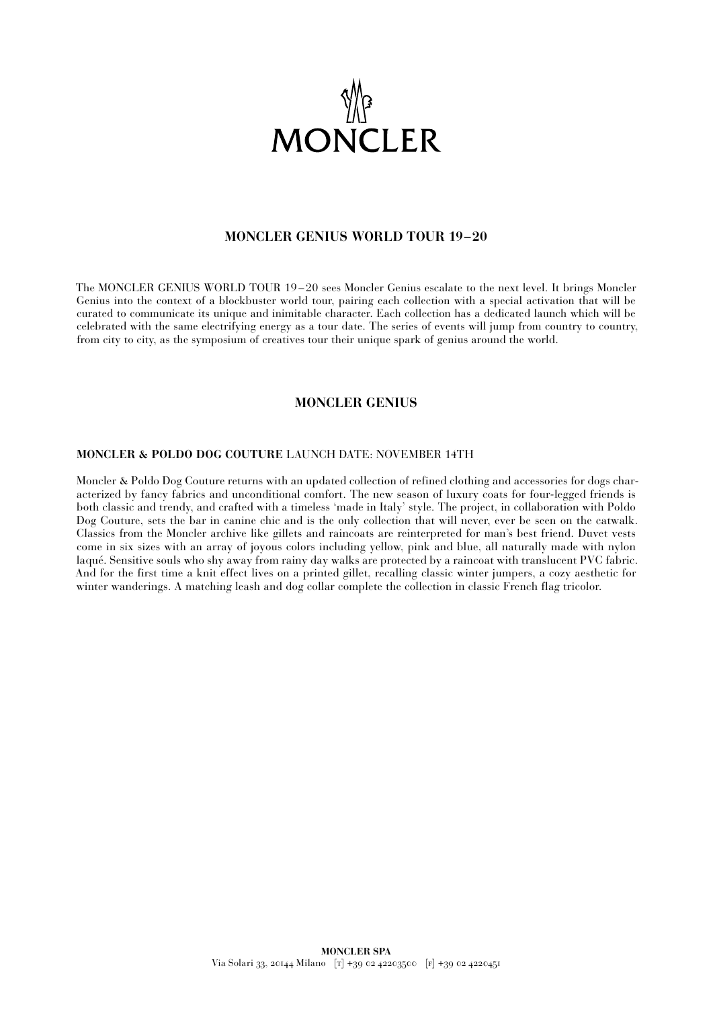

# **MONCLER GENIUS WORLD TOUR 19–20**

The MONCLER GENIUS WORLD TOUR 19 – 20 sees Moncler Genius escalate to the next level. It brings Moncler Genius into the context of a blockbuster world tour, pairing each collection with a special activation that will be curated to communicate its unique and inimitable character. Each collection has a dedicated launch which will be celebrated with the same electrifying energy as a tour date. The series of events will jump from country to country, from city to city, as the symposium of creatives tour their unique spark of genius around the world.

# **MONCLER GENIUS**

#### **MONCLER & POLDO DOG COUTURE** LAUNCH DATE: NOVEMBER 14TH

Moncler & Poldo Dog Couture returns with an updated collection of refined clothing and accessories for dogs characterized by fancy fabrics and unconditional comfort. The new season of luxury coats for four-legged friends is both classic and trendy, and crafted with a timeless 'made in Italy' style. The project, in collaboration with Poldo Dog Couture, sets the bar in canine chic and is the only collection that will never, ever be seen on the catwalk. Classics from the Moncler archive like gillets and raincoats are reinterpreted for man's best friend. Duvet vests come in six sizes with an array of joyous colors including yellow, pink and blue, all naturally made with nylon laqué. Sensitive souls who shy away from rainy day walks are protected by a raincoat with translucent PVC fabric. And for the first time a knit effect lives on a printed gillet, recalling classic winter jumpers, a cozy aesthetic for winter wanderings. A matching leash and dog collar complete the collection in classic French flag tricolor.